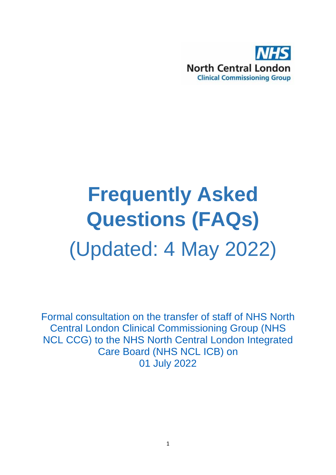

# **Frequently Asked Questions (FAQs)** (Updated: 4 May 2022)

Formal consultation on the transfer of staff of NHS North Central London Clinical Commissioning Group (NHS NCL CCG) to the NHS North Central London Integrated Care Board (NHS NCL ICB) on 01 July 2022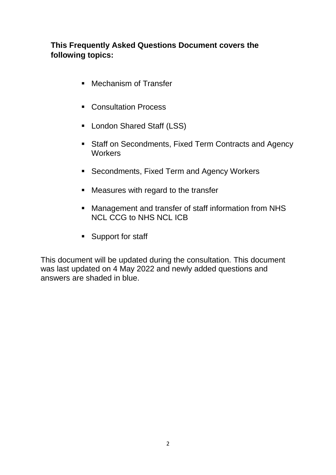#### **This Frequently Asked Questions Document covers the following topics:**

- Mechanism of Transfer
- **Consultation Process**
- London Shared Staff (LSS)
- **Staff on Secondments, Fixed Term Contracts and Agency Workers**
- **Secondments, Fixed Term and Agency Workers**
- Measures with regard to the transfer
- Management and transfer of staff information from NHS NCL CCG to NHS NCL ICB
- **Support for staff**

This document will be updated during the consultation. This document was last updated on 4 May 2022 and newly added questions and answers are shaded in blue.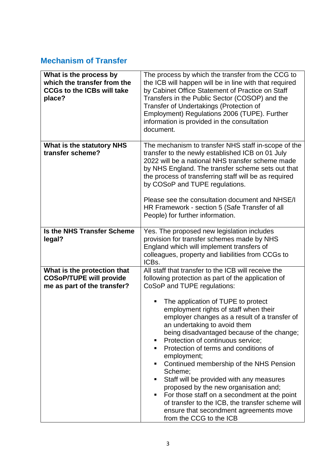## **Mechanism of Transfer**

| What is the process by<br>which the transfer from the<br><b>CCGs to the ICBs will take</b><br>place? | The process by which the transfer from the CCG to<br>the ICB will happen will be in line with that required<br>by Cabinet Office Statement of Practice on Staff<br>Transfers in the Public Sector (COSOP) and the<br>Transfer of Undertakings (Protection of<br>Employment) Regulations 2006 (TUPE). Further<br>information is provided in the consultation<br>document.                                                                                                                                                                                                                                                                                                                                                                                                                              |
|------------------------------------------------------------------------------------------------------|-------------------------------------------------------------------------------------------------------------------------------------------------------------------------------------------------------------------------------------------------------------------------------------------------------------------------------------------------------------------------------------------------------------------------------------------------------------------------------------------------------------------------------------------------------------------------------------------------------------------------------------------------------------------------------------------------------------------------------------------------------------------------------------------------------|
| What is the statutory NHS<br>transfer scheme?                                                        | The mechanism to transfer NHS staff in-scope of the<br>transfer to the newly established ICB on 01 July<br>2022 will be a national NHS transfer scheme made<br>by NHS England. The transfer scheme sets out that<br>the process of transferring staff will be as required<br>by COSoP and TUPE regulations.<br>Please see the consultation document and NHSE/I<br>HR Framework - section 5 (Safe Transfer of all<br>People) for further information.                                                                                                                                                                                                                                                                                                                                                  |
| <b>Is the NHS Transfer Scheme</b><br>legal?                                                          | Yes. The proposed new legislation includes<br>provision for transfer schemes made by NHS<br>England which will implement transfers of<br>colleagues, property and liabilities from CCGs to<br>ICBs.                                                                                                                                                                                                                                                                                                                                                                                                                                                                                                                                                                                                   |
| What is the protection that<br><b>COSoP/TUPE will provide</b><br>me as part of the transfer?         | All staff that transfer to the ICB will receive the<br>following protection as part of the application of<br>CoSoP and TUPE regulations:<br>The application of TUPE to protect<br>٠<br>employment rights of staff when their<br>employer changes as a result of a transfer of<br>an undertaking to avoid them<br>being disadvantaged because of the change;<br>Protection of continuous service;<br>п<br>Protection of terms and conditions of<br>٠<br>employment;<br>Continued membership of the NHS Pension<br>٠<br>Scheme;<br>Staff will be provided with any measures<br>٠<br>proposed by the new organisation and;<br>For those staff on a secondment at the point<br>٠<br>of transfer to the ICB, the transfer scheme will<br>ensure that secondment agreements move<br>from the CCG to the ICB |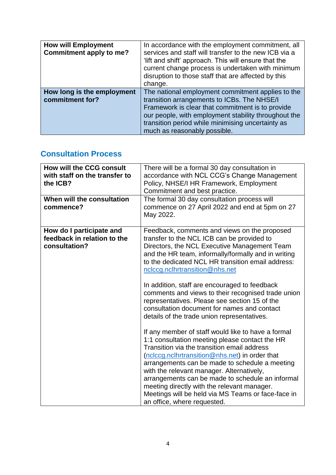| <b>How will Employment</b><br>Commitment apply to me? | In accordance with the employment commitment, all<br>services and staff will transfer to the new ICB via a<br>'lift and shift' approach. This will ensure that the<br>current change process is undertaken with minimum<br>disruption to those staff that are affected by this<br>change.         |
|-------------------------------------------------------|---------------------------------------------------------------------------------------------------------------------------------------------------------------------------------------------------------------------------------------------------------------------------------------------------|
| How long is the employment<br>commitment for?         | The national employment commitment applies to the<br>transition arrangements to ICBs. The NHSE/I<br>Framework is clear that commitment is to provide<br>our people, with employment stability throughout the<br>transition period while minimising uncertainty as<br>much as reasonably possible. |

## **Consultation Process**

| <b>How will the CCG consult</b><br>with staff on the transfer to<br>the ICB? | There will be a formal 30 day consultation in<br>accordance with NCL CCG's Change Management<br>Policy, NHSE/I HR Framework, Employment<br>Commitment and best practice.                                                                                                                                                                                                                                                                                                                     |
|------------------------------------------------------------------------------|----------------------------------------------------------------------------------------------------------------------------------------------------------------------------------------------------------------------------------------------------------------------------------------------------------------------------------------------------------------------------------------------------------------------------------------------------------------------------------------------|
| When will the consultation<br>commence?                                      | The formal 30 day consultation process will<br>commence on 27 April 2022 and end at 5pm on 27<br>May 2022.                                                                                                                                                                                                                                                                                                                                                                                   |
| How do I participate and<br>feedback in relation to the<br>consultation?     | Feedback, comments and views on the proposed<br>transfer to the NCL ICB can be provided to<br>Directors, the NCL Executive Management Team<br>and the HR team, informally/formally and in writing<br>to the dedicated NCL HR transition email address:<br>nclccg.nclhrtransition@nhs.net                                                                                                                                                                                                     |
|                                                                              | In addition, staff are encouraged to feedback<br>comments and views to their recognised trade union<br>representatives. Please see section 15 of the<br>consultation document for names and contact<br>details of the trade union representatives.                                                                                                                                                                                                                                           |
|                                                                              | If any member of staff would like to have a formal<br>1:1 consultation meeting please contact the HR<br>Transition via the transition email address<br>(nclccg.nclhrtransition@nhs.net) in order that<br>arrangements can be made to schedule a meeting<br>with the relevant manager. Alternatively,<br>arrangements can be made to schedule an informal<br>meeting directly with the relevant manager.<br>Meetings will be held via MS Teams or face-face in<br>an office, where requested. |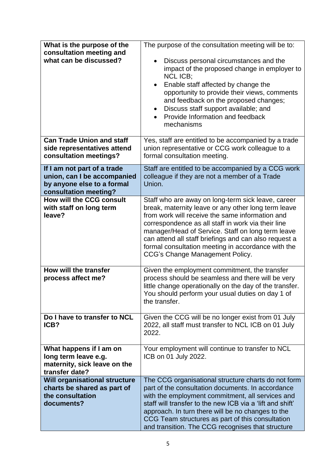| What is the purpose of the<br>consultation meeting and<br>what can be discussed?                                  | The purpose of the consultation meeting will be to:<br>Discuss personal circumstances and the<br>impact of the proposed change in employer to<br><b>NCL ICB:</b><br>Enable staff affected by change the<br>$\bullet$<br>opportunity to provide their views, comments<br>and feedback on the proposed changes;<br>Discuss staff support available; and<br>$\bullet$<br>Provide Information and feedback<br>mechanisms      |
|-------------------------------------------------------------------------------------------------------------------|---------------------------------------------------------------------------------------------------------------------------------------------------------------------------------------------------------------------------------------------------------------------------------------------------------------------------------------------------------------------------------------------------------------------------|
| <b>Can Trade Union and staff</b><br>side representatives attend<br>consultation meetings?                         | Yes, staff are entitled to be accompanied by a trade<br>union representative or CCG work colleague to a<br>formal consultation meeting.                                                                                                                                                                                                                                                                                   |
| If I am not part of a trade<br>union, can I be accompanied<br>by anyone else to a formal<br>consultation meeting? | Staff are entitled to be accompanied by a CCG work<br>colleague if they are not a member of a Trade<br>Union.                                                                                                                                                                                                                                                                                                             |
| <b>How will the CCG consult</b><br>with staff on long term<br>leave?                                              | Staff who are away on long-term sick leave, career<br>break, maternity leave or any other long term leave<br>from work will receive the same information and<br>correspondence as all staff in work via their line<br>manager/Head of Service. Staff on long term leave<br>can attend all staff briefings and can also request a<br>formal consultation meeting in accordance with the<br>CCG's Change Management Policy. |
| How will the transfer<br>process affect me?                                                                       | Given the employment commitment, the transfer<br>process should be seamless and there will be very<br>little change operationally on the day of the transfer.<br>You should perform your usual duties on day 1 of<br>the transfer.                                                                                                                                                                                        |
| Do I have to transfer to NCL<br>ICB?                                                                              | Given the CCG will be no longer exist from 01 July<br>2022, all staff must transfer to NCL ICB on 01 July<br>2022.                                                                                                                                                                                                                                                                                                        |
| What happens if I am on<br>long term leave e.g.<br>maternity, sick leave on the<br>transfer date?                 | Your employment will continue to transfer to NCL<br>ICB on 01 July 2022.                                                                                                                                                                                                                                                                                                                                                  |
| <b>Will organisational structure</b><br>charts be shared as part of<br>the consultation<br>documents?             | The CCG organisational structure charts do not form<br>part of the consultation documents. In accordance<br>with the employment commitment, all services and<br>staff will transfer to the new ICB via a 'lift and shift'<br>approach. In turn there will be no changes to the<br>CCG Team structures as part of this consultation<br>and transition. The CCG recognises that structure                                   |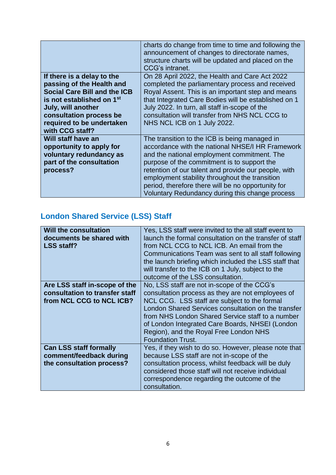|                                       | charts do change from time to time and following the<br>announcement of changes to directorate names,<br>structure charts will be updated and placed on the<br>CCG's intranet. |
|---------------------------------------|--------------------------------------------------------------------------------------------------------------------------------------------------------------------------------|
| If there is a delay to the            | On 28 April 2022, the Health and Care Act 2022                                                                                                                                 |
| passing of the Health and             | completed the parliamentary process and received                                                                                                                               |
| <b>Social Care Bill and the ICB</b>   | Royal Assent. This is an important step and means                                                                                                                              |
| is not established on 1 <sup>st</sup> | that Integrated Care Bodies will be established on 1                                                                                                                           |
| July, will another                    | July 2022. In turn, all staff in-scope of the                                                                                                                                  |
| consultation process be               | consultation will transfer from NHS NCL CCG to                                                                                                                                 |
| required to be undertaken             | NHS NCL ICB on 1 July 2022.                                                                                                                                                    |
| with CCG staff?                       |                                                                                                                                                                                |
| Will staff have an                    | The transition to the ICB is being managed in                                                                                                                                  |
| opportunity to apply for              | accordance with the national NHSE/I HR Framework                                                                                                                               |
| voluntary redundancy as               | and the national employment commitment. The                                                                                                                                    |
| part of the consultation              | purpose of the commitment is to support the                                                                                                                                    |
| process?                              | retention of our talent and provide our people, with                                                                                                                           |
|                                       | employment stability throughout the transition                                                                                                                                 |
|                                       | period, therefore there will be no opportunity for                                                                                                                             |
|                                       | Voluntary Redundancy during this change process                                                                                                                                |

# **London Shared Service (LSS) Staff**

| <b>Will the consultation</b><br>documents be shared with<br><b>LSS staff?</b> | Yes, LSS staff were invited to the all staff event to<br>launch the formal consultation on the transfer of staff<br>from NCL CCG to NCL ICB. An email from the<br>Communications Team was sent to all staff following<br>the launch briefing which included the LSS staff that<br>will transfer to the ICB on 1 July, subject to the<br>outcome of the LSS consultation. |
|-------------------------------------------------------------------------------|--------------------------------------------------------------------------------------------------------------------------------------------------------------------------------------------------------------------------------------------------------------------------------------------------------------------------------------------------------------------------|
| Are LSS staff in-scope of the                                                 | No, LSS staff are not in-scope of the CCG's                                                                                                                                                                                                                                                                                                                              |
| consultation to transfer staff                                                | consultation process as they are not employees of                                                                                                                                                                                                                                                                                                                        |
|                                                                               |                                                                                                                                                                                                                                                                                                                                                                          |
| from NCL CCG to NCL ICB?                                                      | NCL CCG. LSS staff are subject to the formal<br>London Shared Services consultation on the transfer<br>from NHS London Shared Service staff to a number<br>of London Integrated Care Boards, NHSEI (London<br>Region), and the Royal Free London NHS<br><b>Foundation Trust.</b>                                                                                         |
| <b>Can LSS staff formally</b>                                                 | Yes, if they wish to do so. However, please note that                                                                                                                                                                                                                                                                                                                    |
| comment/feedback during                                                       | because LSS staff are not in-scope of the                                                                                                                                                                                                                                                                                                                                |
| the consultation process?                                                     | consultation process, whilst feedback will be duly                                                                                                                                                                                                                                                                                                                       |
|                                                                               | considered those staff will not receive individual<br>correspondence regarding the outcome of the<br>consultation.                                                                                                                                                                                                                                                       |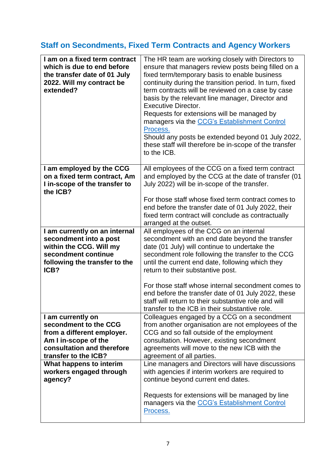# **Staff on Secondments, Fixed Term Contracts and Agency Workers**

| I am on a fixed term contract<br>which is due to end before<br>the transfer date of 01 July<br>2022. Will my contract be<br>extended?                  | The HR team are working closely with Directors to<br>ensure that managers review posts being filled on a<br>fixed term/temporary basis to enable business<br>continuity during the transition period. In turn, fixed<br>term contracts will be reviewed on a case by case<br>basis by the relevant line manager, Director and<br><b>Executive Director.</b><br>Requests for extensions will be managed by<br>managers via the CCG's Establishment Control<br>Process.<br>Should any posts be extended beyond 01 July 2022,<br>these staff will therefore be in-scope of the transfer<br>to the ICB. |
|--------------------------------------------------------------------------------------------------------------------------------------------------------|-----------------------------------------------------------------------------------------------------------------------------------------------------------------------------------------------------------------------------------------------------------------------------------------------------------------------------------------------------------------------------------------------------------------------------------------------------------------------------------------------------------------------------------------------------------------------------------------------------|
|                                                                                                                                                        |                                                                                                                                                                                                                                                                                                                                                                                                                                                                                                                                                                                                     |
| I am employed by the CCG<br>on a fixed term contract, Am<br>I in-scope of the transfer to<br>the ICB?                                                  | All employees of the CCG on a fixed term contract<br>and employed by the CCG at the date of transfer (01<br>July 2022) will be in-scope of the transfer.                                                                                                                                                                                                                                                                                                                                                                                                                                            |
|                                                                                                                                                        | For those staff whose fixed term contract comes to<br>end before the transfer date of 01 July 2022, their<br>fixed term contract will conclude as contractually<br>arranged at the outset.                                                                                                                                                                                                                                                                                                                                                                                                          |
| I am currently on an internal<br>secondment into a post<br>within the CCG. Will my<br>secondment continue<br>following the transfer to the<br>ICB?     | All employees of the CCG on an internal<br>secondment with an end date beyond the transfer<br>date (01 July) will continue to undertake the<br>secondment role following the transfer to the CCG<br>until the current end date, following which they<br>return to their substantive post.                                                                                                                                                                                                                                                                                                           |
|                                                                                                                                                        | For those staff whose internal secondment comes to<br>end before the transfer date of 01 July 2022, these<br>staff will return to their substantive role and will<br>transfer to the ICB in their substantive role.                                                                                                                                                                                                                                                                                                                                                                                 |
| I am currently on<br>secondment to the CCG<br>from a different employer.<br>Am I in-scope of the<br>consultation and therefore<br>transfer to the ICB? | Colleagues engaged by a CCG on a secondment<br>from another organisation are not employees of the<br>CCG and so fall outside of the employment<br>consultation. However, existing secondment<br>agreements will move to the new ICB with the<br>agreement of all parties.                                                                                                                                                                                                                                                                                                                           |
| What happens to interim<br>workers engaged through<br>agency?                                                                                          | Line managers and Directors will have discussions<br>with agencies if interim workers are required to<br>continue beyond current end dates.<br>Requests for extensions will be managed by line<br>managers via the CCG's Establishment Control                                                                                                                                                                                                                                                                                                                                                      |
|                                                                                                                                                        | Process.                                                                                                                                                                                                                                                                                                                                                                                                                                                                                                                                                                                            |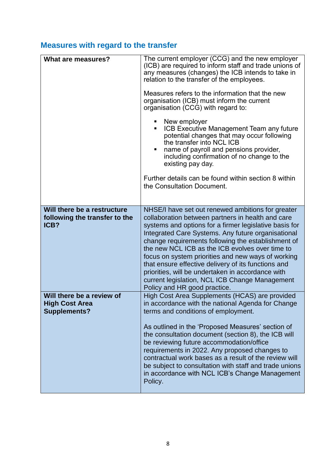# **Measures with regard to the transfer**

| What are measures?                                                        | The current employer (CCG) and the new employer<br>(ICB) are required to inform staff and trade unions of<br>any measures (changes) the ICB intends to take in<br>relation to the transfer of the employees.<br>Measures refers to the information that the new<br>organisation (ICB) must inform the current<br>organisation (CCG) with regard to:<br>New employer<br>ICB Executive Management Team any future<br>potential changes that may occur following<br>the transfer into NCL ICB<br>name of payroll and pensions provider,<br>including confirmation of no change to the<br>existing pay day.<br>Further details can be found within section 8 within<br>the Consultation Document. |
|---------------------------------------------------------------------------|-----------------------------------------------------------------------------------------------------------------------------------------------------------------------------------------------------------------------------------------------------------------------------------------------------------------------------------------------------------------------------------------------------------------------------------------------------------------------------------------------------------------------------------------------------------------------------------------------------------------------------------------------------------------------------------------------|
| Will there be a restructure<br>following the transfer to the<br>ICB?      | NHSE/I have set out renewed ambitions for greater<br>collaboration between partners in health and care<br>systems and options for a firmer legislative basis for<br>Integrated Care Systems. Any future organisational<br>change requirements following the establishment of<br>the new NCL ICB as the ICB evolves over time to<br>focus on system priorities and new ways of working<br>that ensure effective delivery of its functions and<br>priorities, will be undertaken in accordance with<br>current legislation, NCL ICB Change Management<br>Policy and HR good practice.                                                                                                           |
| Will there be a review of<br><b>High Cost Area</b><br><b>Supplements?</b> | High Cost Area Supplements (HCAS) are provided<br>in accordance with the national Agenda for Change<br>terms and conditions of employment.<br>As outlined in the 'Proposed Measures' section of<br>the consultation document (section 8), the ICB will<br>be reviewing future accommodation/office<br>requirements in 2022. Any proposed changes to<br>contractual work bases as a result of the review will<br>be subject to consultation with staff and trade unions<br>in accordance with NCL ICB's Change Management<br>Policy.                                                                                                                                                           |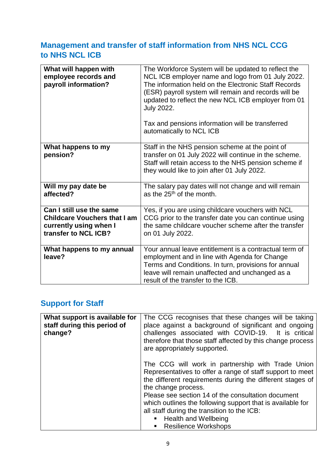### **Management and transfer of staff information from NHS NCL CCG to NHS NCL ICB**

| What will happen with<br>employee records and<br>payroll information?                                             | The Workforce System will be updated to reflect the<br>NCL ICB employer name and logo from 01 July 2022.<br>The information held on the Electronic Staff Records<br>(ESR) payroll system will remain and records will be<br>updated to reflect the new NCL ICB employer from 01<br><b>July 2022.</b><br>Tax and pensions information will be transferred<br>automatically to NCL ICB |
|-------------------------------------------------------------------------------------------------------------------|--------------------------------------------------------------------------------------------------------------------------------------------------------------------------------------------------------------------------------------------------------------------------------------------------------------------------------------------------------------------------------------|
| What happens to my<br>pension?                                                                                    | Staff in the NHS pension scheme at the point of<br>transfer on 01 July 2022 will continue in the scheme.<br>Staff will retain access to the NHS pension scheme if<br>they would like to join after 01 July 2022.                                                                                                                                                                     |
| Will my pay date be<br>affected?                                                                                  | The salary pay dates will not change and will remain<br>as the $25th$ of the month.                                                                                                                                                                                                                                                                                                  |
| Can I still use the same<br><b>Childcare Vouchers that I am</b><br>currently using when I<br>transfer to NCL ICB? | Yes, if you are using childcare vouchers with NCL<br>CCG prior to the transfer date you can continue using<br>the same childcare voucher scheme after the transfer<br>on 01 July 2022.                                                                                                                                                                                               |
| What happens to my annual<br>leave?                                                                               | Your annual leave entitlement is a contractual term of<br>employment and in line with Agenda for Change<br>Terms and Conditions. In turn, provisions for annual<br>leave will remain unaffected and unchanged as a<br>result of the transfer to the ICB.                                                                                                                             |

## **Support for Staff**

| What support is available for<br>staff during this period of<br>change? | The CCG recognises that these changes will be taking<br>place against a background of significant and ongoing<br>challenges associated with COVID-19. It is critical<br>therefore that those staff affected by this change process<br>are appropriately supported. |
|-------------------------------------------------------------------------|--------------------------------------------------------------------------------------------------------------------------------------------------------------------------------------------------------------------------------------------------------------------|
|                                                                         | The CCG will work in partnership with Trade Union<br>Representatives to offer a range of staff support to meet<br>the different requirements during the different stages of<br>the change process.                                                                 |
|                                                                         | Please see section 14 of the consultation document<br>which outlines the following support that is available for                                                                                                                                                   |
|                                                                         | all staff during the transition to the ICB:                                                                                                                                                                                                                        |
|                                                                         | ■ Health and Wellbeing                                                                                                                                                                                                                                             |
|                                                                         | ■ Resilience Workshops                                                                                                                                                                                                                                             |